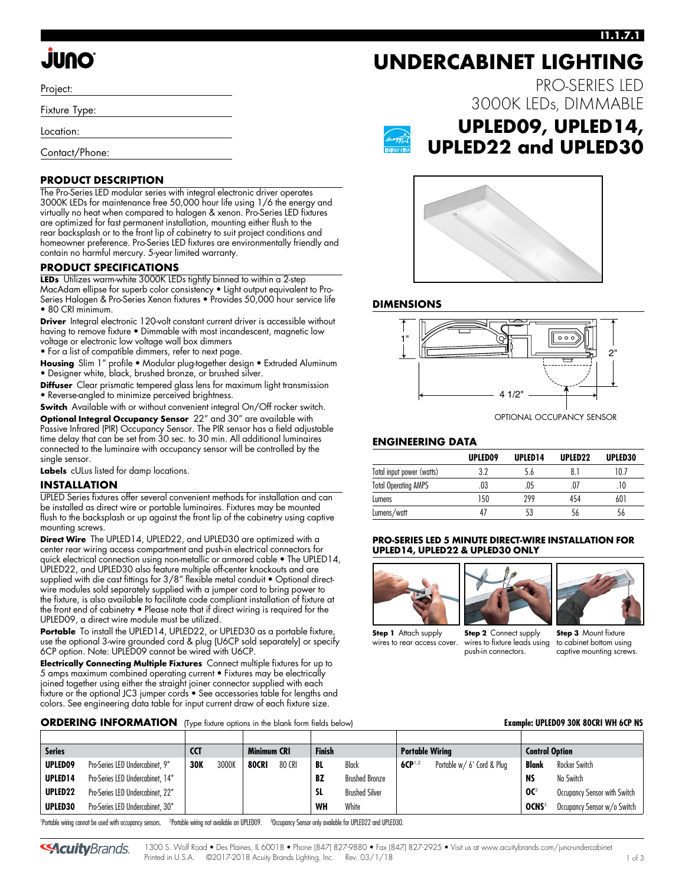### **I1.1.7.1**

PRO-SERIES LED

# **ONUL**

Project:

Fixture Type:

Location:

Contact/Phone:

### **PRODUCT DESCRIPTION**

The Pro-Series LED modular series with integral electronic driver operates 3000K LEDs for maintenance free 50,000 hour life using 1/6 the energy and virtually no heat when compared to halogen & xenon. Pro-Series LED fixtures are optimized for fast permanent installation, mounting either flush to the rear backsplash or to the front lip of cabinetry to suit project conditions and homeowner preference. Pro-Series LED fixtures are environmentally friendly and contain no harmful mercury. 5-year limited warranty.

### **PRODUCT SPECIFICATIONS**

**LEDs** Utilizes warm-white 3000K LEDs tightly binned to within a 2-step MacAdam ellipse for superb color consistency • Light output equivalent to Pro-Series Halogen & Pro-Series Xenon fixtures • Provides 50,000 hour service life • 80 CRI minimum.

**Driver** Integral electronic 120-volt constant current driver is accessible without having to remove fixture • Dimmable with most incandescent, magnetic low voltage or electronic low voltage wall box dimmers

• For a list of compatible dimmers, refer to next page.

**Housing** Slim 1" profile • Modular plug-together design • Extruded Aluminum • Designer white, black, brushed bronze, or brushed silver.

**Diffuser** Clear prismatic tempered glass lens for maximum light transmission • Reverse-angled to minimize perceived brightness.

**Switch** Available with or without convenient integral On/Off rocker switch.

**Optional Integral Occupancy Sensor** 22" and 30" are available with Passive Infrared (PIR) Occupancy Sensor. The PIR sensor has a field adjustable time delay that can be set from 30 sec. to 30 min. All additional luminaires connected to the luminaire with occupancy sensor will be controlled by the single sensor.

**Labels** cULus listed for damp locations.

### **INSTALLATION**

UPLED Series fixtures offer several convenient methods for installation and can be installed as direct wire or portable luminaires. Fixtures may be mounted flush to the backsplash or up against the front lip of the cabinetry using captive mounting screws.

**Direct Wire** The UPLED14, UPLED22, and UPLED30 are optimized with a center rear wiring access compartment and push-in electrical connectors for quick electric[al](http://www.junolightinggroup.com/spec/D3_1_9.pdf) connection using non-metallic or armored cable • The UPLED14, UPLED22, and UPLED30 also feature multiple off-center knockouts and are supplied with die cast fittings for 3/8" flexible metal conduit • Optional directwire modules sold separately supplied with a jumper cord to bring power to the fixture, is also available to facilitate code compliant installation of fixture at the front end of cabinetry • Please note that if direct wiring is required for the UPLED09, a direct wire module must be utilized.

**Portable** To install the UPLED14, UPLED22, or UPLED30 as a portable fixture, use the optional 3-wire grounded cord & plug (U6CP sold separately) or specify 6CP option. Note: UPLED09 cannot be wired with U6CP.

**Electrically Connecting Multiple Fixtures** Connect multiple fixtures for up to 5 amps maximum combined operating current • Fixtures may be electrically joined together using either the straight joiner connector supplied with each fixture or the optional JC3 jumper cords • See accessories table for lengths and colors. See engineering data table for input current draw of each fixture size.

### **ORDERING INFORMATION** (Type fixture options in the blank form fields below) **Example: UPLED09 30K 80CRI WH 6CP NS**



## **UPLED09, UPLED14, UPLED22 and UPLED30**

3000K LEDs, DIMMABLE



**UNDERCABINET LIGHTING**

### **DIMENSIONS**



### **ENGINEERING DATA**

|                             | UPLED09 | UPLED <sub>14</sub> | UPLED <sub>22</sub> | UPLED30 |
|-----------------------------|---------|---------------------|---------------------|---------|
| Total input power (watts)   | २ १     | 5.6                 |                     | 10.7    |
| <b>Total Operating AMPS</b> | 03      | 05                  | .07                 |         |
| Lumens                      | 150     | 299                 | 454                 | 601     |
| Lumens/watt                 | 4,      |                     | 56                  | 56      |

### **PRO-SERIES LED 5 MINUTE DIRECT-WIRE INSTALLATION FOR UPLED14, UPLED22 & UPLED30 ONLY**





**Step 1** Attach supply wires to rear access cover.

**Step 2** Connect supply wires to fixture leads using push-in connectors.



| <b>Series</b>                                                                                                  |                                  | <b>CCT</b> |       | <b>Finish</b><br>Minimum CRI |        | <b>Portable Wiring</b> |                       | <b>Control Option</b> |                            |                          |                              |
|----------------------------------------------------------------------------------------------------------------|----------------------------------|------------|-------|------------------------------|--------|------------------------|-----------------------|-----------------------|----------------------------|--------------------------|------------------------------|
| UPLED09                                                                                                        | Pro-Series LED Undercabinet, 9"  | <b>30K</b> | 3000K | <b>80CRI</b>                 | 80 CRI | BL                     | Black                 | $6CP^{1,2}$           | Portable w/ 6' Cord & Plug | Blank                    | Rocker Switch                |
| UPLED <sub>14</sub>                                                                                            | Pro-Series LED Undercabinet, 14" |            |       |                              |        | BZ                     | <b>Brushed Bronze</b> |                       |                            | <b>NS</b>                | No Switch                    |
| UPLED22                                                                                                        | Pro-Series LED Undercabinet, 22" |            |       |                              |        | SL.                    | <b>Brushed Silver</b> |                       |                            | OC <sup>3</sup>          | Occupancy Sensor with Switch |
| UPLED30                                                                                                        | Pro-Series LED Undercabinet, 30" |            |       |                              |        | WH                     | White                 |                       |                            | <b>OCNS</b> <sup>3</sup> | Occupancy Sensor w/o Switch  |
| the state of the companion of the state of the state of the state of the state of the state of the state of th |                                  |            |       |                              |        |                        |                       |                       |                            |                          |                              |

1 Portable wiring cannot be used with occupancy sensors. 2 Portable wiring not available on UPLED09. 3 Occupancy Sensor only available for UPLED22 and UPLED30.

**SAcuity**Brands.

1300 S. Wolf Road • Des Plaines, IL 60018 • Phone (847) 827-9880 • Fax (847) 827-2925 • Visit us at www.acuitybrands.com/juno-undercabinet Printed in U.S.A. ©2017-2018 Acuity Brands Lighting, Inc. Rev. 03/1/18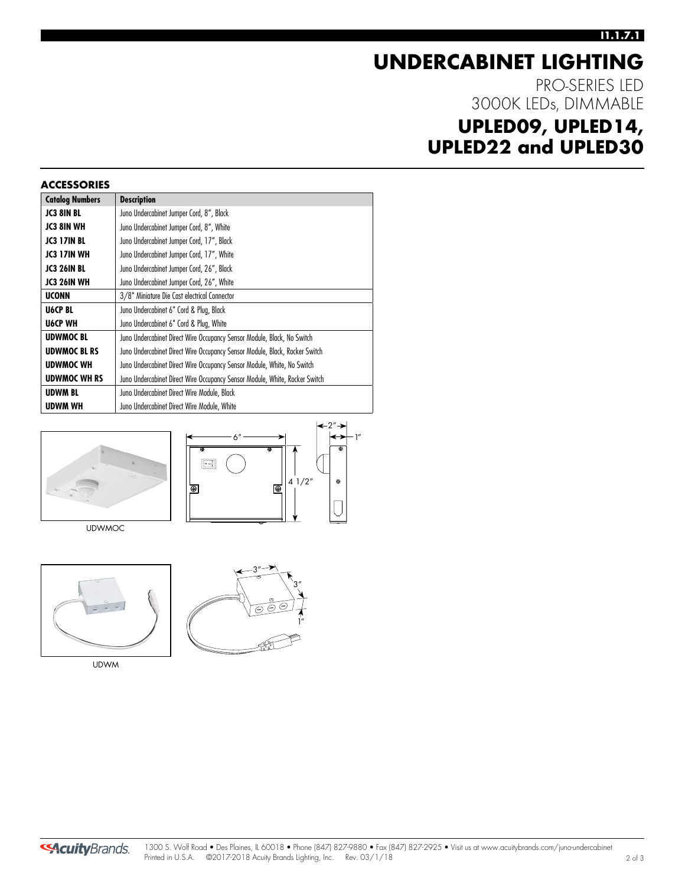### **I1.1.7.1**

# **UNDERCABINET LIGHTING**

PRO-SERIES LED 3000K LEDs, DIMMABLE

## **UPLED09, UPLED14, UPLED22 and UPLED30**

| <b>ACCESSORIES</b>     |                                                                             |
|------------------------|-----------------------------------------------------------------------------|
| <b>Catalog Numbers</b> | <b>Description</b>                                                          |
| <b>JC3 8IN BL</b>      | Juno Undercabinet Jumper Cord, 8", Black                                    |
| <b>JC3 8IN WH</b>      | Juno Undercabinet Jumper Cord, 8", White                                    |
| <b>JC3 17IN BL</b>     | Juno Undercabinet Jumper Cord, 17", Black                                   |
| <b>JC3 17IN WH</b>     | Juno Undercabinet Jumper Cord, 17", White                                   |
| <b>JC3 26IN BL</b>     | Juno Undercabinet Jumper Cord, 26", Black                                   |
| JC3 26IN WH            | Juno Undercabinet Jumper Cord, 26", White                                   |
| <b>UCONN</b>           | 3/8" Miniature Die Cast electrical Connector                                |
| U6CP BL                | Juno Undercabinet 6" Cord & Plug, Black                                     |
| <b>U6CP WH</b>         | Juno Undercabinet 6" Cord & Plug, White                                     |
| <b>UDWMOC BL</b>       | Juno Undercabinet Direct Wire Occupancy Sensor Module, Black, No Switch     |
| <b>UDWMOC BL RS</b>    | Juno Undercabinet Direct Wire Occupancy Sensor Module, Black, Rocker Switch |
| <b>UDWMOC WH</b>       | Juno Undercabinet Direct Wire Occupancy Sensor Module, White, No Switch     |
| <b>UDWMOC WH RS</b>    | Juno Undercabinet Direct Wire Occupancy Sensor Module, White, Rocker Switch |
| <b>UDWM BL</b>         | Juno Undercabinet Direct Wire Module, Black                                 |
| <b>UDWM WH</b>         | Juno Undercabinet Direct Wire Module, White                                 |





UDWMOC



UDWM



**SAcuity** Brands.